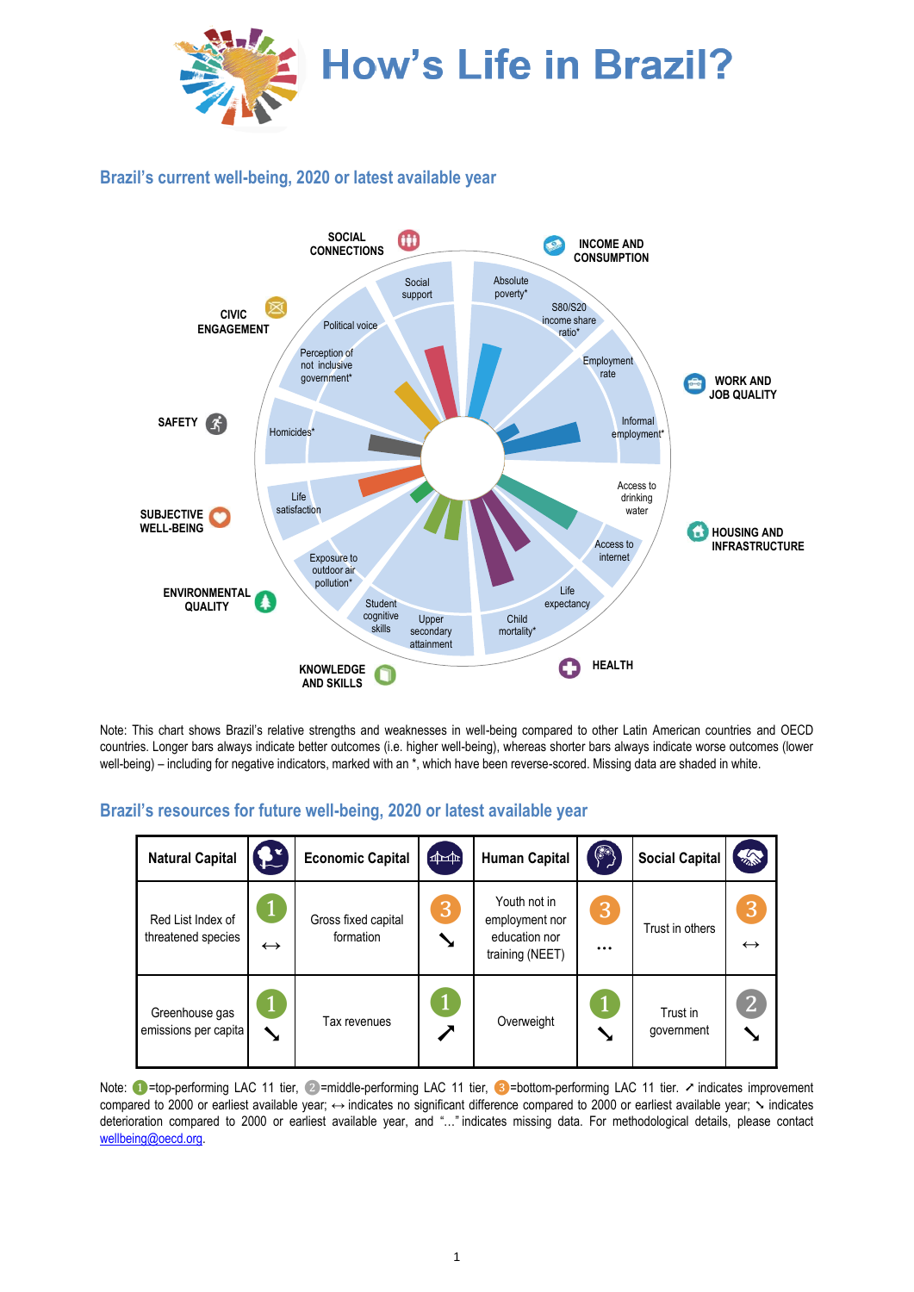

## **Brazil's current well-being, 2020 or latest available year**



Note: This chart shows Brazil's relative strengths and weaknesses in well-being compared to other Latin American countries and OECD countries. Longer bars always indicate better outcomes (i.e. higher well-being), whereas shorter bars always indicate worse outcomes (lower well-being) – including for negative indicators, marked with an \*, which have been reverse-scored. Missing data are shaded in white.

## **Brazil's resources for future well-being, 2020 or latest available year**

| <b>Natural Capital</b>                  | $\mathbf{R}^{\prime}$             | <b>Economic Capital</b>          | $\left( \frac{1}{2} \right)$ | <b>Human Capital</b>                                               | $\circ$       | <b>Social Capital</b>  | <b>ARCA</b>            |
|-----------------------------------------|-----------------------------------|----------------------------------|------------------------------|--------------------------------------------------------------------|---------------|------------------------|------------------------|
| Red List Index of<br>threatened species | $\mathbf{I}$<br>$\leftrightarrow$ | Gross fixed capital<br>formation | 3                            | Youth not in<br>employment nor<br>education nor<br>training (NEET) | 3<br>$\cdots$ | Trust in others        | 3<br>$\leftrightarrow$ |
| Greenhouse gas<br>emissions per capita  | ↘                                 | Tax revenues                     |                              | Overweight                                                         |               | Trust in<br>government | $\overline{2}$         |

Note: ● =top-performing LAC 11 tier, ②=middle-performing LAC 11 tier, ③=bottom-performing LAC 11 tier. ↗ indicates improvement compared to 2000 or earliest available year; ↔ indicates no significant difference compared to 2000 or earliest available year;  $\sim$  indicates deterioration compared to 2000 or earliest available year, and "…" indicates missing data. For methodological details, please contact [wellbeing@oecd.org.](mailto:wellbeing@oecd.org)